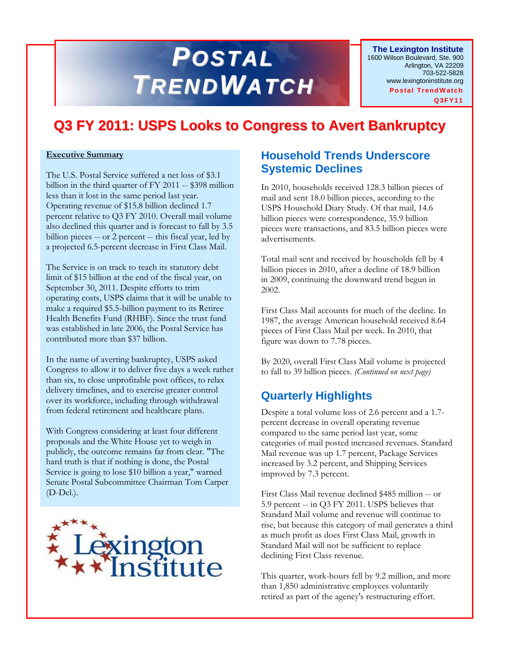# *POSTAL TRENDWATCH*

**The Lexington Institute** 1600 Wilson Boulevard, Ste. 900 Arlington, VA 22209 703-522-5828 www.lexingtoninstitute.org **Postal TrendW atch Q3FY11**

## **Q3 FY 2011: USPS Looks to Congress to Avert Bankruptcy**

#### **Executive Summary**

The U.S. Postal Service suffered a net loss of \$3.1 billion in the third quarter of FY 2011 -- \$398 million less than it lost in the same period last year. Operating revenue of \$15.8 billion declined 1.7 percent relative to Q3 FY 2010. Overall mail volume also declined this quarter and is forecast to fall by 3.5 billion pieces -- or 2 percent -- this fiscal year, led by a projected 6.5-percent decrease in First Class Mail.

The Service is on track to reach its statutory debt limit of \$15 billion at the end of the fiscal year, on September 30, 2011. Despite efforts to trim operating costs, USPS claims that it will be unable to make a required \$5.5-billion payment to its Retiree Health Benefits Fund (RHBF). Since the trust fund was established in late 2006, the Postal Service has contributed more than \$37 billion.

In the name of averting bankruptcy, USPS asked Congress to allow it to deliver five days a week rather than six, to close unprofitable post offices, to relax delivery timelines, and to exercise greater control over its workforce, including through withdrawal from federal retirement and healthcare plans.

With Congress considering at least four different proposals and the White House yet to weigh in publicly, the outcome remains far from clear. "The hard truth is that if nothing is done, the Postal Service is going to lose \$10 billion a year," warned Senate Postal Subcommittee Chairman Tom Carper (D-Del.).



#### **Household Trends Underscore Systemic Declines**

In 2010, households received 128.3 billion pieces of mail and sent 18.0 billion pieces, according to the USPS Household Diary Study. Of that mail, 14.6 billion pieces were correspondence, 35.9 billion pieces were transactions, and 83.5 billion pieces were advertisements.

Total mail sent and received by households fell by 4 billion pieces in 2010, after a decline of 18.9 billion in 2009, continuing the downward trend begun in 2002.

First Class Mail accounts for much of the decline. In 1987, the average American household received 8.64 pieces of First Class Mail per week. In 2010, that figure was down to 7.78 pieces.

By 2020, overall First Class Mail volume is projected to fall to 39 billion pieces. *(Continued on next page)*

### **Quarterly Highlights**

Despite a total volume loss of 2.6 percent and a 1.7 percent decrease in overall operating revenue compared to the same period last year, some categories of mail posted increased revenues. Standard Mail revenue was up 1.7 percent, Package Services increased by 3.2 percent, and Shipping Services improved by 7.3 percent.

First Class Mail revenue declined \$485 million -- or 5.9 percent -- in Q3 FY 2011. USPS believes that Standard Mail volume and revenue will continue to rise, but because this category of mail generates a third as much profit as does First Class Mail, growth in Standard Mail will not be sufficient to replace declining First Class revenue.

This quarter, work-hours fell by 9.2 million, and more than 1,850 administrative employees voluntarily retired as part of the agency's restructuring effort.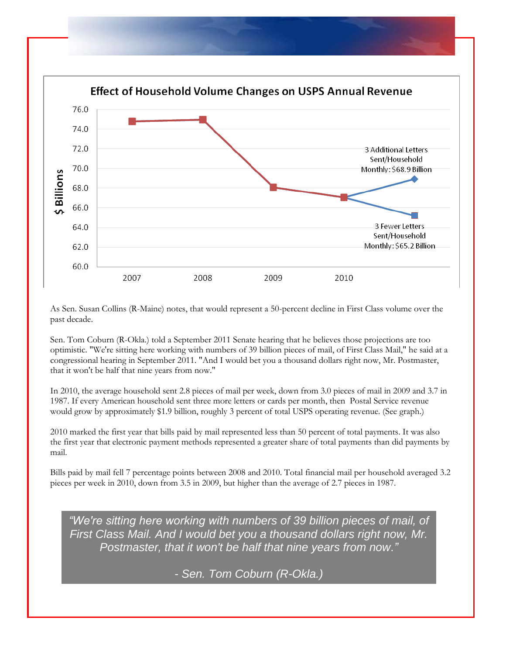

As Sen. Susan Collins (R-Maine) notes, that would represent a 50-percent decline in First Class volume over the past decade.

Sen. Tom Coburn (R-Okla.) told a September 2011 Senate hearing that he believes those projections are too optimistic. "We're sitting here working with numbers of 39 billion pieces of mail, of First Class Mail," he said at a congressional hearing in September 2011. "And I would bet you a thousand dollars right now, Mr. Postmaster, that it won't be half that nine years from now."

In 2010, the average household sent 2.8 pieces of mail per week, down from 3.0 pieces of mail in 2009 and 3.7 in 1987. If every American household sent three more letters or cards per month, then Postal Service revenue would grow by approximately \$1.9 billion, roughly 3 percent of total USPS operating revenue. (See graph.)

2010 marked the first year that bills paid by mail represented less than 50 percent of total payments. It was also the first year that electronic payment methods represented a greater share of total payments than did payments by mail.

Bills paid by mail fell 7 percentage points between 2008 and 2010. Total financial mail per household averaged 3.2 pieces per week in 2010, down from 3.5 in 2009, but higher than the average of 2.7 pieces in 1987.

*"We're sitting here working with numbers of 39 billion pieces of mail, of First Class Mail. And I would bet you a thousand dollars right now, Mr. Postmaster, that it won't be half that nine years from now."*

*- Sen. Tom Coburn (R-Okla.)*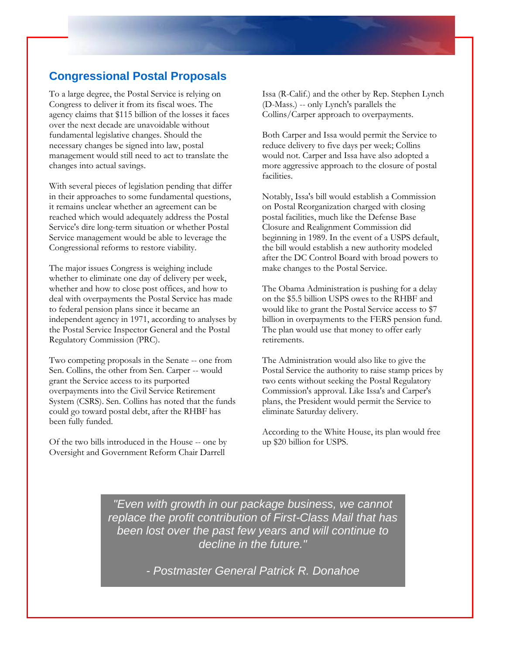#### **Congressional Postal Proposals**

To a large degree, the Postal Service is relying on Congress to deliver it from its fiscal woes. The agency claims that \$115 billion of the losses it faces over the next decade are unavoidable without fundamental legislative changes. Should the necessary changes be signed into law, postal management would still need to act to translate the changes into actual savings.

With several pieces of legislation pending that differ in their approaches to some fundamental questions, it remains unclear whether an agreement can be reached which would adequately address the Postal Service's dire long-term situation or whether Postal Service management would be able to leverage the Congressional reforms to restore viability.

The major issues Congress is weighing include whether to eliminate one day of delivery per week, whether and how to close post offices, and how to deal with overpayments the Postal Service has made to federal pension plans since it became an independent agency in 1971, according to analyses by the Postal Service Inspector General and the Postal Regulatory Commission (PRC).

Two competing proposals in the Senate -- one from Sen. Collins, the other from Sen. Carper -- would grant the Service access to its purported overpayments into the Civil Service Retirement System (CSRS). Sen. Collins has noted that the funds could go toward postal debt, after the RHBF has been fully funded.

Of the two bills introduced in the House -- one by Oversight and Government Reform Chair Darrell

Issa (R-Calif.) and the other by Rep. Stephen Lynch (D-Mass.) -- only Lynch's parallels the Collins/Carper approach to overpayments.

Both Carper and Issa would permit the Service to reduce delivery to five days per week; Collins would not. Carper and Issa have also adopted a more aggressive approach to the closure of postal facilities.

Notably, Issa's bill would establish a Commission on Postal Reorganization charged with closing postal facilities, much like the Defense Base Closure and Realignment Commission did beginning in 1989. In the event of a USPS default, the bill would establish a new authority modeled after the DC Control Board with broad powers to make changes to the Postal Service.

The Obama Administration is pushing for a delay on the \$5.5 billion USPS owes to the RHBF and would like to grant the Postal Service access to \$7 billion in overpayments to the FERS pension fund. The plan would use that money to offer early retirements.

The Administration would also like to give the Postal Service the authority to raise stamp prices by two cents without seeking the Postal Regulatory Commission's approval. Like Issa's and Carper's plans, the President would permit the Service to eliminate Saturday delivery.

According to the White House, its plan would free up \$20 billion for USPS.

*"Even with growth in our package business, we cannot replace the profit contribution of First-Class Mail that has been lost over the past few years and will continue to decline in the future."*

*- Postmaster General Patrick R. Donahoe*